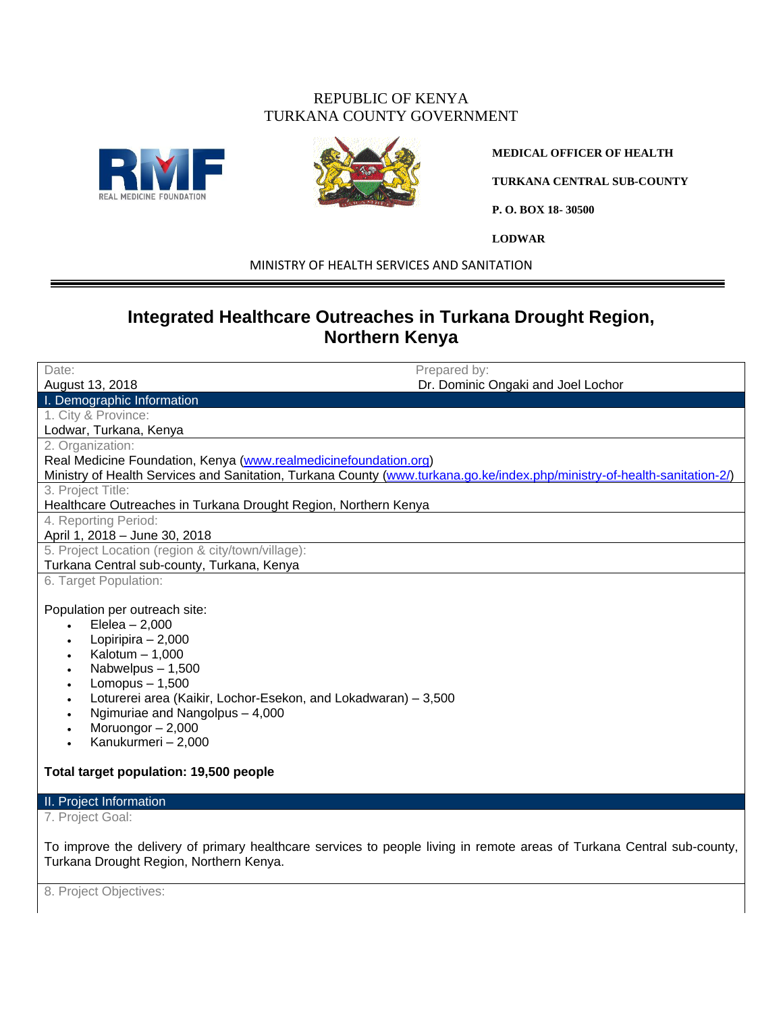### REPUBLIC OF KENYA TURKANA COUNTY GOVERNMENT





**MEDICAL OFFICER OF HEALTH**

**TURKANA CENTRAL SUB-COUNTY**

**P. O. BOX 18- 30500**

**LODWAR**

MINISTRY OF HEALTH SERVICES AND SANITATION

# **Integrated Healthcare Outreaches in Turkana Drought Region, Northern Kenya**

| Date:                                                                                                                                                                                                                                                                                                                             | Prepared by:                       |  |  |  |  |  |  |
|-----------------------------------------------------------------------------------------------------------------------------------------------------------------------------------------------------------------------------------------------------------------------------------------------------------------------------------|------------------------------------|--|--|--|--|--|--|
| August 13, 2018                                                                                                                                                                                                                                                                                                                   | Dr. Dominic Ongaki and Joel Lochor |  |  |  |  |  |  |
| I. Demographic Information                                                                                                                                                                                                                                                                                                        |                                    |  |  |  |  |  |  |
| 1. City & Province:                                                                                                                                                                                                                                                                                                               |                                    |  |  |  |  |  |  |
| Lodwar, Turkana, Kenya                                                                                                                                                                                                                                                                                                            |                                    |  |  |  |  |  |  |
| 2. Organization:                                                                                                                                                                                                                                                                                                                  |                                    |  |  |  |  |  |  |
| Real Medicine Foundation, Kenya (www.realmedicinefoundation.org)                                                                                                                                                                                                                                                                  |                                    |  |  |  |  |  |  |
| Ministry of Health Services and Sanitation, Turkana County (www.turkana.go.ke/index.php/ministry-of-health-sanitation-2/)                                                                                                                                                                                                         |                                    |  |  |  |  |  |  |
| 3. Project Title:                                                                                                                                                                                                                                                                                                                 |                                    |  |  |  |  |  |  |
| Healthcare Outreaches in Turkana Drought Region, Northern Kenya                                                                                                                                                                                                                                                                   |                                    |  |  |  |  |  |  |
| 4. Reporting Period:                                                                                                                                                                                                                                                                                                              |                                    |  |  |  |  |  |  |
| April 1, 2018 - June 30, 2018                                                                                                                                                                                                                                                                                                     |                                    |  |  |  |  |  |  |
| 5. Project Location (region & city/town/village):                                                                                                                                                                                                                                                                                 |                                    |  |  |  |  |  |  |
| Turkana Central sub-county, Turkana, Kenya                                                                                                                                                                                                                                                                                        |                                    |  |  |  |  |  |  |
| 6. Target Population:                                                                                                                                                                                                                                                                                                             |                                    |  |  |  |  |  |  |
| Population per outreach site:<br>Elelea $-2,000$<br>Lopiripira $-2,000$<br>Kalotum $-1,000$<br>Nabwelpus $-1,500$<br>Lomopus $-1,500$<br>Loturerei area (Kaikir, Lochor-Esekon, and Lokadwaran) - 3,500<br>Ngimuriae and Nangolpus - 4,000<br>Moruongor $-2,000$<br>Kanukurmeri - 2,000<br>Total target population: 19,500 people |                                    |  |  |  |  |  |  |
| II. Project Information                                                                                                                                                                                                                                                                                                           |                                    |  |  |  |  |  |  |
| 7. Project Goal:                                                                                                                                                                                                                                                                                                                  |                                    |  |  |  |  |  |  |
| To improve the delivery of primary healthcare services to people living in remote areas of Turkana Central sub-county,<br>Turkana Drought Region, Northern Kenya.                                                                                                                                                                 |                                    |  |  |  |  |  |  |
| 8. Project Objectives:                                                                                                                                                                                                                                                                                                            |                                    |  |  |  |  |  |  |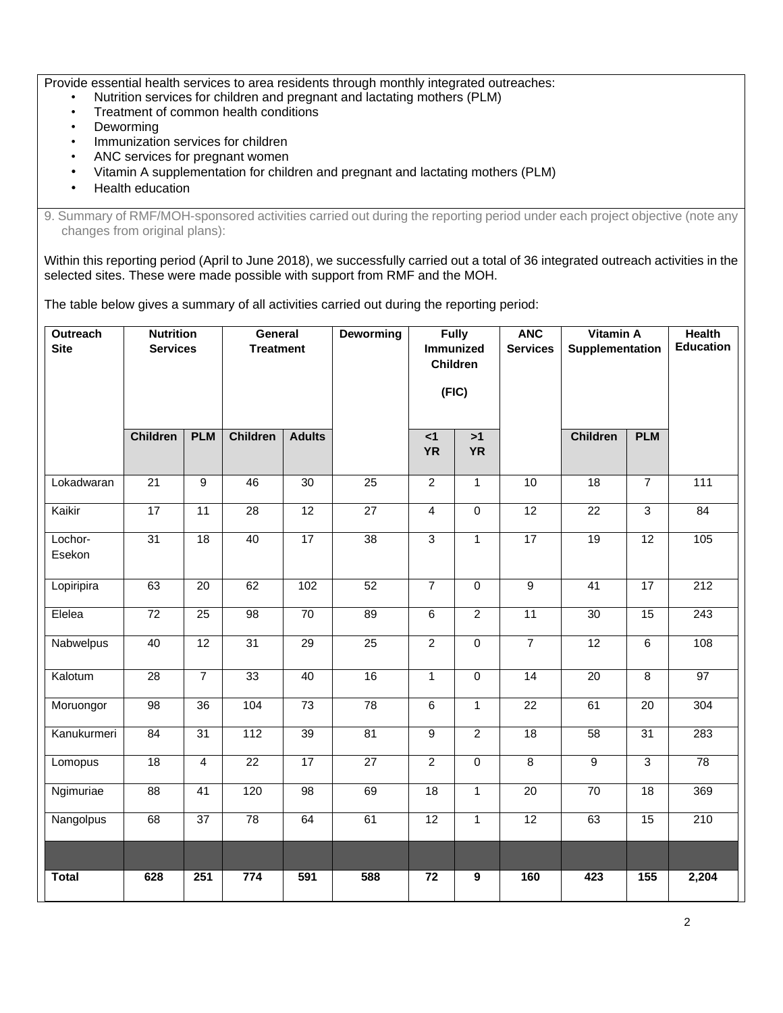Provide essential health services to area residents through monthly integrated outreaches:

- Nutrition services for children and pregnant and lactating mothers (PLM)
- Treatment of common health conditions
- **Deworming**
- Immunization services for children
- ANC services for pregnant women
- Vitamin A supplementation for children and pregnant and lactating mothers (PLM)
- Health education

9. Summary of RMF/MOH-sponsored activities carried out during the reporting period under each project objective (note any changes from original plans):

Within this reporting period (April to June 2018), we successfully carried out a total of 36 integrated outreach activities in the selected sites. These were made possible with support from RMF and the MOH.

The table below gives a summary of all activities carried out during the reporting period:

| Outreach<br><b>Site</b> | <b>Nutrition</b><br><b>Services</b> |                 | General<br><b>Treatment</b> |                  | Deworming       | <b>Fully</b><br><b>Immunized</b><br><b>Children</b><br>(FIC) |                  | <b>ANC</b><br><b>Services</b> | <b>Vitamin A</b><br>Supplementation |                 | <b>Health</b><br><b>Education</b> |
|-------------------------|-------------------------------------|-----------------|-----------------------------|------------------|-----------------|--------------------------------------------------------------|------------------|-------------------------------|-------------------------------------|-----------------|-----------------------------------|
|                         | <b>Children</b>                     | <b>PLM</b>      | <b>Children</b>             | <b>Adults</b>    |                 | $\leq 1$<br><b>YR</b>                                        | >1<br><b>YR</b>  |                               | <b>Children</b>                     | <b>PLM</b>      |                                   |
| Lokadwaran              | $\overline{21}$                     | $\overline{9}$  | 46                          | 30               | $\overline{25}$ | $\overline{2}$                                               | $\mathbf{1}$     | 10                            | $\overline{18}$                     | $\overline{7}$  | 111                               |
| Kaikir                  | $\overline{17}$                     | 11              | 28                          | 12               | 27              | $\overline{4}$                                               | $\mathbf 0$      | 12                            | 22                                  | 3               | 84                                |
| Lochor-<br>Esekon       | $\overline{31}$                     | 18              | 40                          | 17               | $\overline{38}$ | $\overline{3}$                                               | $\overline{1}$   | 17                            | 19                                  | 12              | 105                               |
| Lopiripira              | 63                                  | $\overline{20}$ | 62                          | 102              | 52              | $\overline{7}$                                               | $\overline{0}$   | $\overline{9}$                | 41                                  | 17              | 212                               |
| Elelea                  | $\overline{72}$                     | 25              | 98                          | 70               | 89              | $\overline{6}$                                               | $\overline{2}$   | $\overline{11}$               | 30                                  | 15              | $\overline{243}$                  |
| Nabwelpus               | 40                                  | $\overline{12}$ | 31                          | $\overline{29}$  | $\overline{25}$ | $\overline{2}$                                               | $\pmb{0}$        | $\overline{7}$                | $\overline{12}$                     | 6               | 108                               |
| Kalotum                 | 28                                  | $\overline{7}$  | 33                          | 40               | 16              | $\mathbf{1}$                                                 | $\mathbf 0$      | 14                            | 20                                  | 8               | 97                                |
| Moruongor               | 98                                  | 36              | 104                         | 73               | $\overline{78}$ | 6                                                            | $\mathbf{1}$     | 22                            | 61                                  | 20              | 304                               |
| Kanukurmeri             | 84                                  | $\overline{31}$ | $\frac{1}{112}$             | 39               | 81              | $\overline{9}$                                               | $\overline{2}$   | $\overline{18}$               | 58                                  | $\overline{31}$ | 283                               |
| Lomopus                 | $\overline{18}$                     | $\overline{4}$  | $\overline{22}$             | 17               | $\overline{27}$ | $\overline{2}$                                               | $\overline{0}$   | $\overline{8}$                | $\overline{9}$                      | $\overline{3}$  | 78                                |
| Ngimuriae               | $\overline{88}$                     | 41              | 120                         | $\overline{98}$  | 69              | 18                                                           | $\mathbf{1}$     | $\overline{20}$               | 70                                  | 18              | 369                               |
| Nangolpus               | 68                                  | $\overline{37}$ | 78                          | 64               | 61              | $\overline{12}$                                              | $\mathbf{1}$     | $\overline{12}$               | 63                                  | 15              | 210                               |
| <b>Total</b>            | 628                                 | 251             | 774                         | $\overline{591}$ | 588             | $\overline{72}$                                              | $\boldsymbol{9}$ | 160                           | 423                                 | 155             | 2,204                             |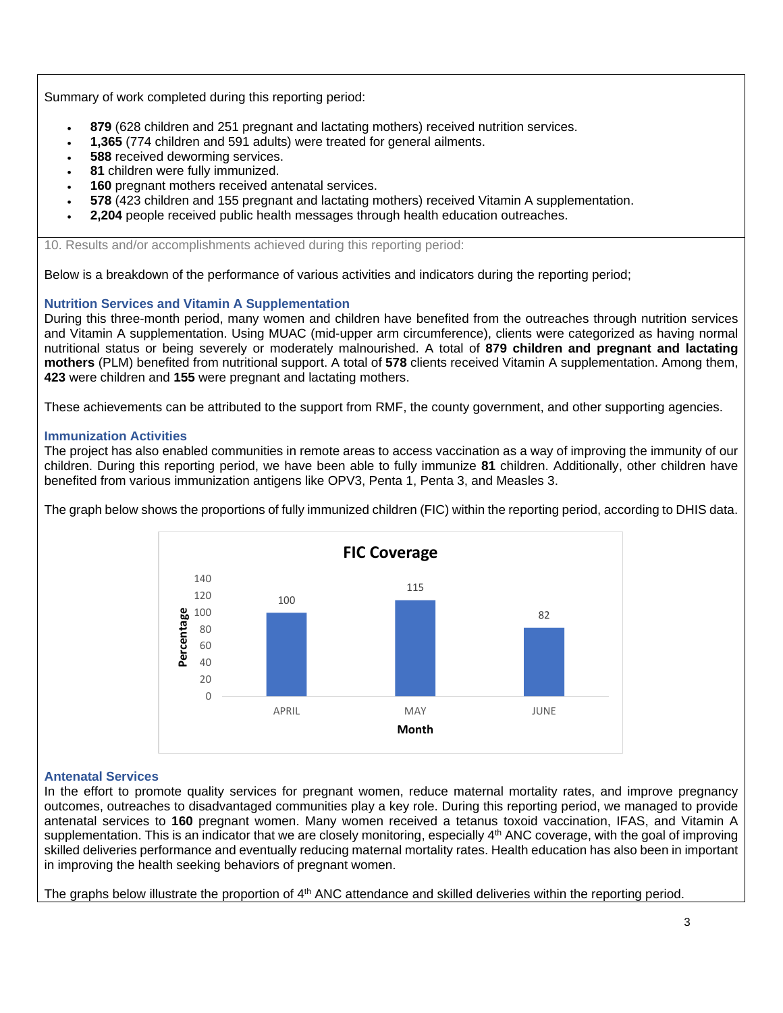Summary of work completed during this reporting period:

- **879** (628 children and 251 pregnant and lactating mothers) received nutrition services.
- **1,365** (774 children and 591 adults) were treated for general ailments.
- **588** received deworming services.
- 81 children were fully immunized.
- **160** pregnant mothers received antenatal services.
- **578** (423 children and 155 pregnant and lactating mothers) received Vitamin A supplementation.
- **2,204** people received public health messages through health education outreaches.

10. Results and/or accomplishments achieved during this reporting period:

Below is a breakdown of the performance of various activities and indicators during the reporting period;

#### **Nutrition Services and Vitamin A Supplementation**

During this three-month period, many women and children have benefited from the outreaches through nutrition services and Vitamin A supplementation. Using MUAC (mid-upper arm circumference), clients were categorized as having normal nutritional status or being severely or moderately malnourished. A total of **879 children and pregnant and lactating mothers** (PLM) benefited from nutritional support. A total of **578** clients received Vitamin A supplementation. Among them, **423** were children and **155** were pregnant and lactating mothers.

These achievements can be attributed to the support from RMF, the county government, and other supporting agencies.

#### **Immunization Activities**

The project has also enabled communities in remote areas to access vaccination as a way of improving the immunity of our children. During this reporting period, we have been able to fully immunize **81** children. Additionally, other children have benefited from various immunization antigens like OPV3, Penta 1, Penta 3, and Measles 3.

The graph below shows the proportions of fully immunized children (FIC) within the reporting period, according to DHIS data.



#### **Antenatal Services**

In the effort to promote quality services for pregnant women, reduce maternal mortality rates, and improve pregnancy outcomes, outreaches to disadvantaged communities play a key role. During this reporting period, we managed to provide antenatal services to **160** pregnant women. Many women received a tetanus toxoid vaccination, IFAS, and Vitamin A supplementation. This is an indicator that we are closely monitoring, especially 4<sup>th</sup> ANC coverage, with the goal of improving skilled deliveries performance and eventually reducing maternal mortality rates. Health education has also been in important in improving the health seeking behaviors of pregnant women.

The graphs below illustrate the proportion of 4<sup>th</sup> ANC attendance and skilled deliveries within the reporting period.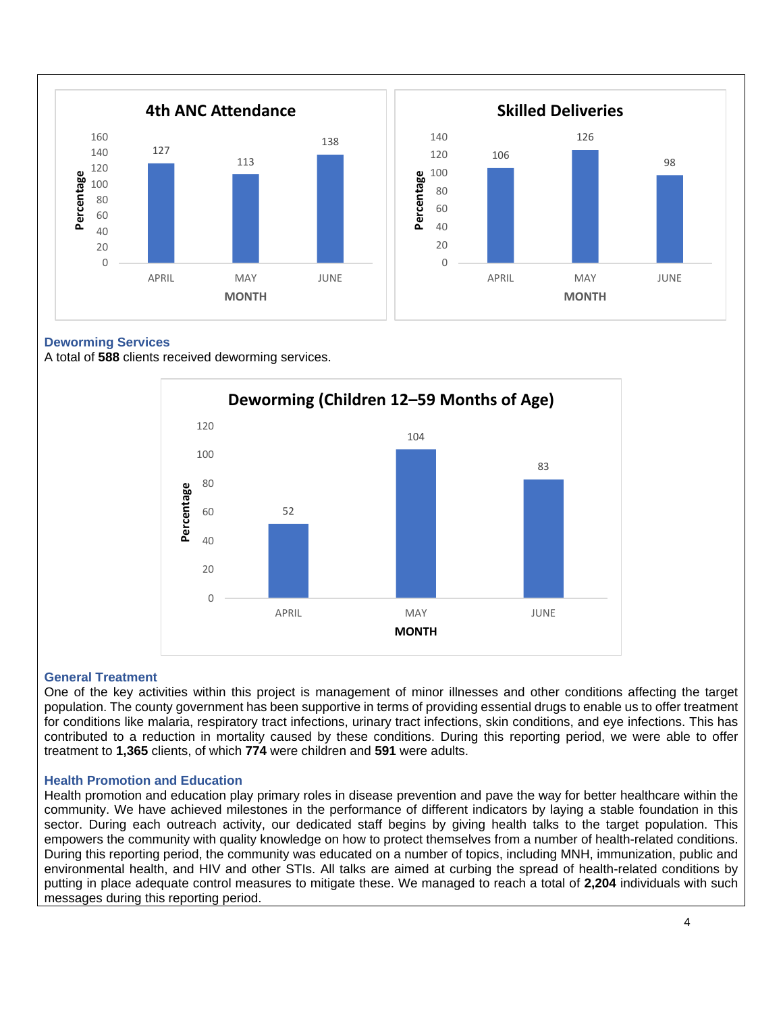

#### **Deworming Services**

A total of **588** clients received deworming services.



#### **General Treatment**

One of the key activities within this project is management of minor illnesses and other conditions affecting the target population. The county government has been supportive in terms of providing essential drugs to enable us to offer treatment for conditions like malaria, respiratory tract infections, urinary tract infections, skin conditions, and eye infections. This has contributed to a reduction in mortality caused by these conditions. During this reporting period, we were able to offer treatment to **1,365** clients, of which **774** were children and **591** were adults.

#### **Health Promotion and Education**

Health promotion and education play primary roles in disease prevention and pave the way for better healthcare within the community. We have achieved milestones in the performance of different indicators by laying a stable foundation in this sector. During each outreach activity, our dedicated staff begins by giving health talks to the target population. This empowers the community with quality knowledge on how to protect themselves from a number of health-related conditions. During this reporting period, the community was educated on a number of topics, including MNH, immunization, public and environmental health, and HIV and other STIs. All talks are aimed at curbing the spread of health-related conditions by putting in place adequate control measures to mitigate these. We managed to reach a total of **2,204** individuals with such messages during this reporting period.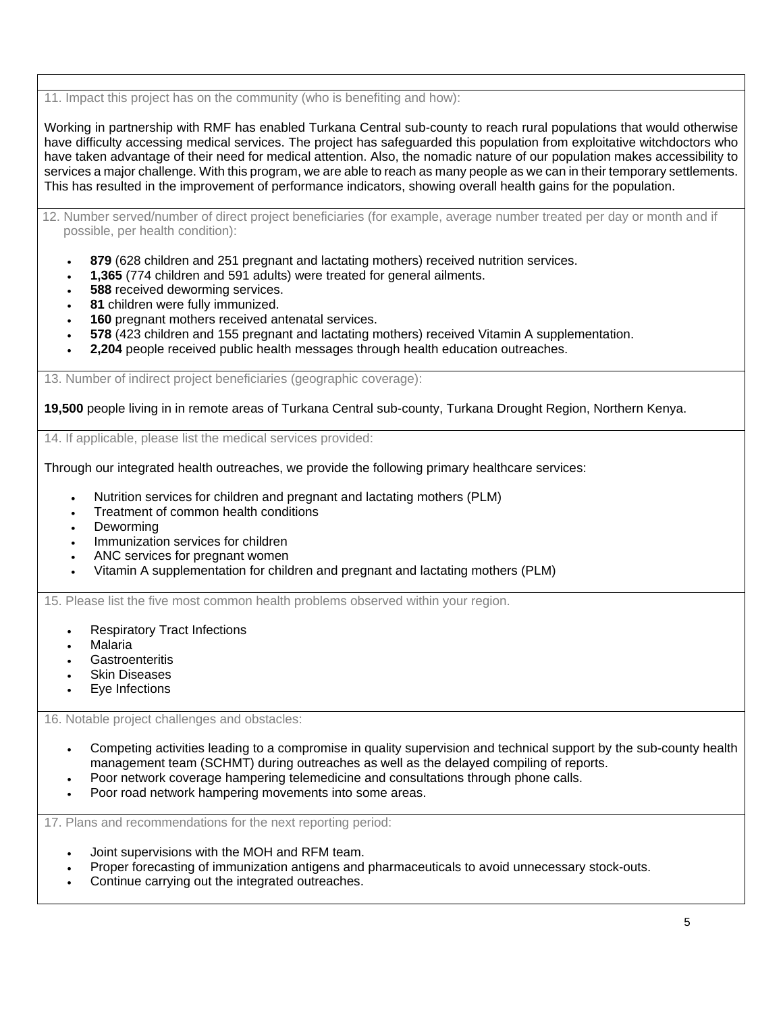11. Impact this project has on the community (who is benefiting and how):

Working in partnership with RMF has enabled Turkana Central sub-county to reach rural populations that would otherwise have difficulty accessing medical services. The project has safeguarded this population from exploitative witchdoctors who have taken advantage of their need for medical attention. Also, the nomadic nature of our population makes accessibility to services a major challenge. With this program, we are able to reach as many people as we can in their temporary settlements. This has resulted in the improvement of performance indicators, showing overall health gains for the population.

12. Number served/number of direct project beneficiaries (for example, average number treated per day or month and if possible, per health condition):

- **879** (628 children and 251 pregnant and lactating mothers) received nutrition services.
- **1,365** (774 children and 591 adults) were treated for general ailments.
- **588** received deworming services.
- 81 children were fully immunized.
- **160** pregnant mothers received antenatal services.
- **578** (423 children and 155 pregnant and lactating mothers) received Vitamin A supplementation.
- **2,204** people received public health messages through health education outreaches.

13. Number of indirect project beneficiaries (geographic coverage):

**19,500** people living in in remote areas of Turkana Central sub-county, Turkana Drought Region, Northern Kenya.

14. If applicable, please list the medical services provided:

Through our integrated health outreaches, we provide the following primary healthcare services:

- Nutrition services for children and pregnant and lactating mothers (PLM)
- Treatment of common health conditions
- **Deworming**
- Immunization services for children
- ANC services for pregnant women
- Vitamin A supplementation for children and pregnant and lactating mothers (PLM)

15. Please list the five most common health problems observed within your region.

- Respiratory Tract Infections
- Malaria
- **Gastroenteritis**
- **Skin Diseases**
- Eye Infections

16. Notable project challenges and obstacles:

- Competing activities leading to a compromise in quality supervision and technical support by the sub-county health management team (SCHMT) during outreaches as well as the delayed compiling of reports.
- Poor network coverage hampering telemedicine and consultations through phone calls.
- Poor road network hampering movements into some areas.

17. Plans and recommendations for the next reporting period:

- Joint supervisions with the MOH and RFM team.
- Proper forecasting of immunization antigens and pharmaceuticals to avoid unnecessary stock-outs.
- Continue carrying out the integrated outreaches.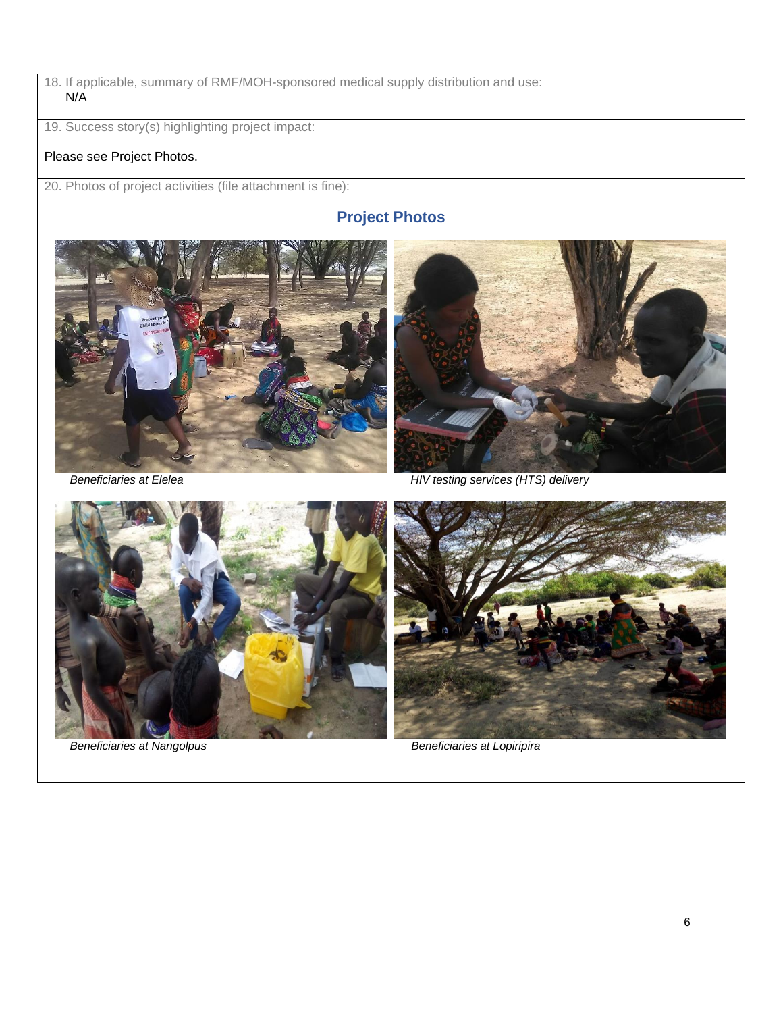18. If applicable, summary of RMF/MOH-sponsored medical supply distribution and use: N/A

19. Success story(s) highlighting project impact:

# Please see Project Photos.

20. Photos of project activities (file attachment is fine):

# **Project Photos**





 *Beneficiaries at Elelea HIV testing services (HTS) delivery*



*Beneficiaries at Nangolpus* **Beneficiaries at Lopiripira** 

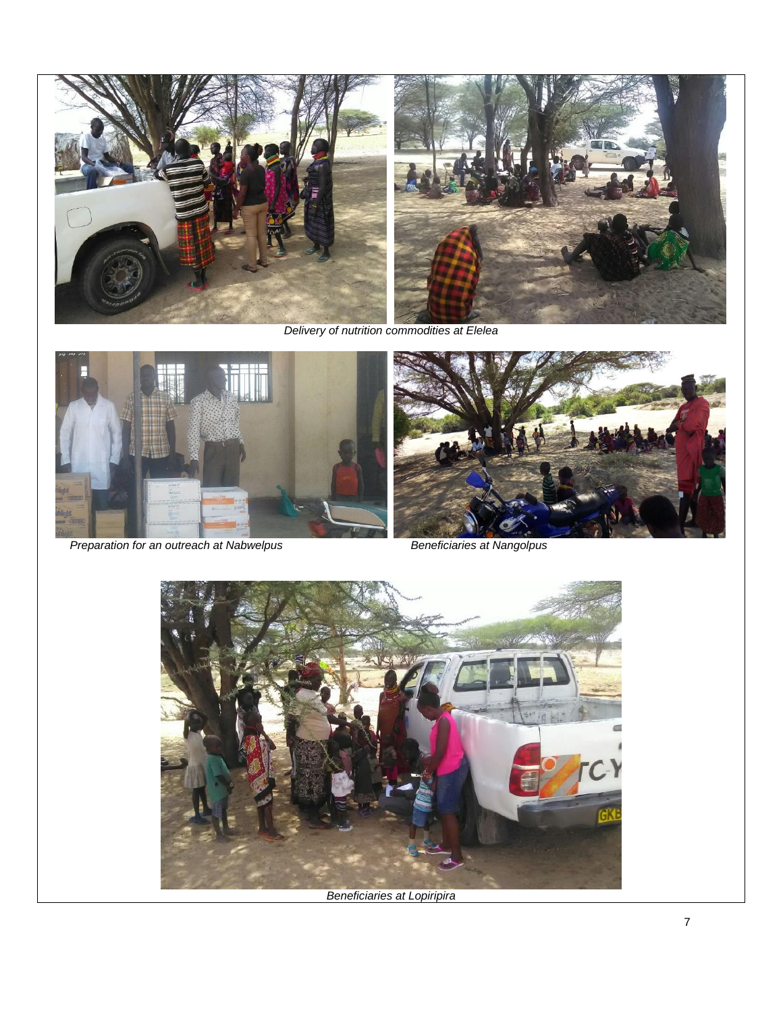

*Delivery of nutrition commodities at Elelea*



*Preparation for an outreach at Nabwelpus* **Beneficiaries at Nangolpus** 





*Beneficiaries at Lopiripira*